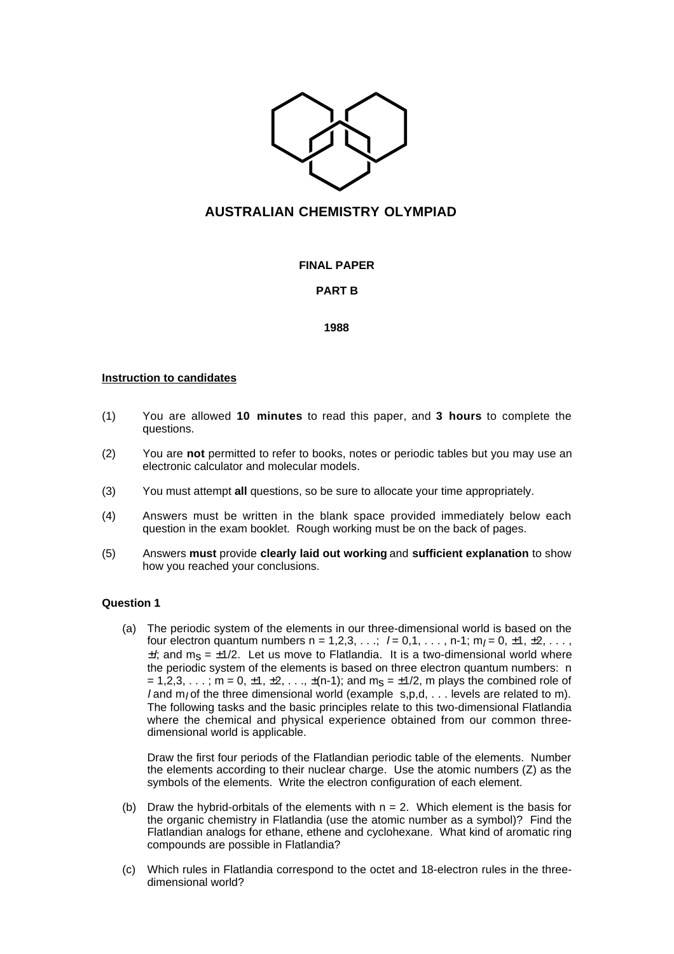

# **AUSTRALIAN CHEMISTRY OLYMPIAD**

# **FINAL PAPER**

## **PART B**

#### **1988**

#### **Instruction to candidates**

- (1) You are allowed **10 minutes** to read this paper, and **3 hours** to complete the questions.
- (2) You are **not** permitted to refer to books, notes or periodic tables but you may use an electronic calculator and molecular models.
- (3) You must attempt **all** questions, so be sure to allocate your time appropriately.
- (4) Answers must be written in the blank space provided immediately below each question in the exam booklet. Rough working must be on the back of pages.
- (5) Answers **must** provide **clearly laid out working** and **sufficient explanation** to show how you reached your conclusions.

## **Question 1**

(a) The periodic system of the elements in our three-dimensional world is based on the four electron quantum numbers  $n = 1,2,3,...;$   $l = 0,1,..., n-1; m_l = 0, \pm 1, \pm 2,...,$  $\pm l$ ; and m<sub>S</sub> =  $\pm$ 1/2. Let us move to Flatlandia. It is a two-dimensional world where the periodic system of the elements is based on three electron quantum numbers: n = 1,2,3, . . . ; m = 0,  $\pm$ 1,  $\pm$ 2, . . .,  $\pm$ (n-1); and m<sub>S</sub> =  $\pm$ 1/2, m plays the combined role of l and m<sub>l</sub> of the three dimensional world (example  $s, p, d, \ldots$  levels are related to m). The following tasks and the basic principles relate to this two-dimensional Flatlandia where the chemical and physical experience obtained from our common threedimensional world is applicable.

Draw the first four periods of the Flatlandian periodic table of the elements. Number the elements according to their nuclear charge. Use the atomic numbers (Z) as the symbols of the elements. Write the electron configuration of each element.

- (b) Draw the hybrid-orbitals of the elements with  $n = 2$ . Which element is the basis for the organic chemistry in Flatlandia (use the atomic number as a symbol)? Find the Flatlandian analogs for ethane, ethene and cyclohexane. What kind of aromatic ring compounds are possible in Flatlandia?
- (c) Which rules in Flatlandia correspond to the octet and 18-electron rules in the threedimensional world?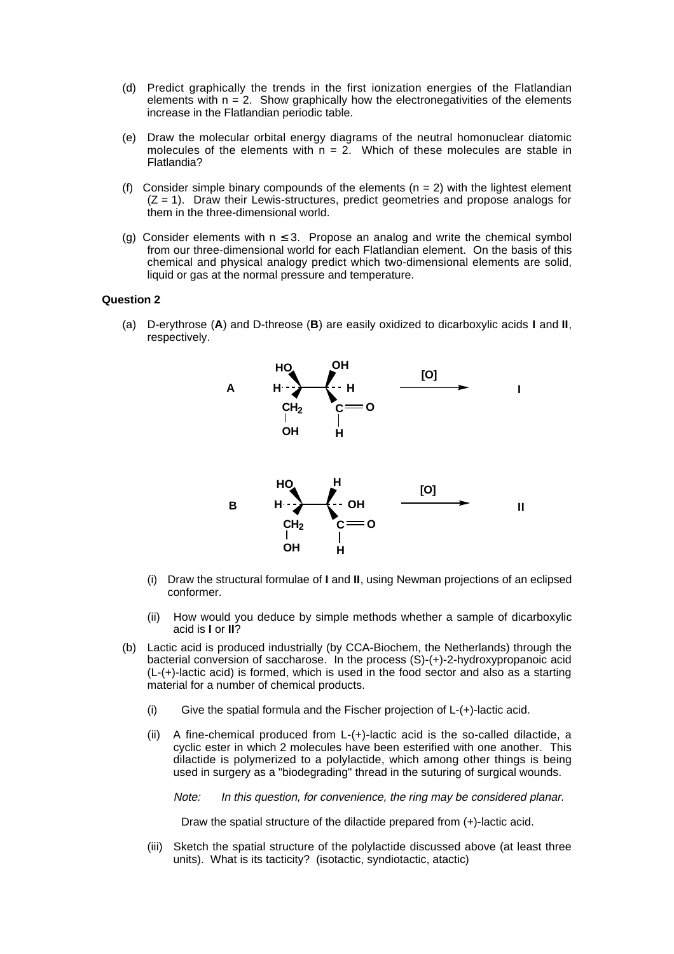- (d) Predict graphically the trends in the first ionization energies of the Flatlandian elements with  $n = 2$ . Show graphically how the electronegativities of the elements increase in the Flatlandian periodic table.
- (e) Draw the molecular orbital energy diagrams of the neutral homonuclear diatomic molecules of the elements with  $n = 2$ . Which of these molecules are stable in Flatlandia?
- (f) Consider simple binary compounds of the elements  $(n = 2)$  with the lightest element  $(Z = 1)$ . Draw their Lewis-structures, predict geometries and propose analogs for them in the three-dimensional world.
- (g) Consider elements with  $n \leq 3$ . Propose an analog and write the chemical symbol from our three-dimensional world for each Flatlandian element. On the basis of this chemical and physical analogy predict which two-dimensional elements are solid, liquid or gas at the normal pressure and temperature.

#### **Question 2**

(a) D-erythrose (**A**) and D-threose (**B**) are easily oxidized to dicarboxylic acids **I** and **II**, respectively.



- (i) Draw the structural formulae of **I** and **II**, using Newman projections of an eclipsed conformer.
- (ii) How would you deduce by simple methods whether a sample of dicarboxylic acid is **I** or **II**?
- (b) Lactic acid is produced industrially (by CCA-Biochem, the Netherlands) through the bacterial conversion of saccharose. In the process (S)-(+)-2-hydroxypropanoic acid (L-(+)-lactic acid) is formed, which is used in the food sector and also as a starting material for a number of chemical products.
	- (i) Give the spatial formula and the Fischer projection of L-(+)-lactic acid.
	- (ii) A fine-chemical produced from L-(+)-lactic acid is the so-called dilactide, a cyclic ester in which 2 molecules have been esterified with one another. This dilactide is polymerized to a polylactide, which among other things is being used in surgery as a "biodegrading" thread in the suturing of surgical wounds.
		- Note: In this question, for convenience, the ring may be considered planar.

Draw the spatial structure of the dilactide prepared from (+)-lactic acid.

(iii) Sketch the spatial structure of the polylactide discussed above (at least three units). What is its tacticity? (isotactic, syndiotactic, atactic)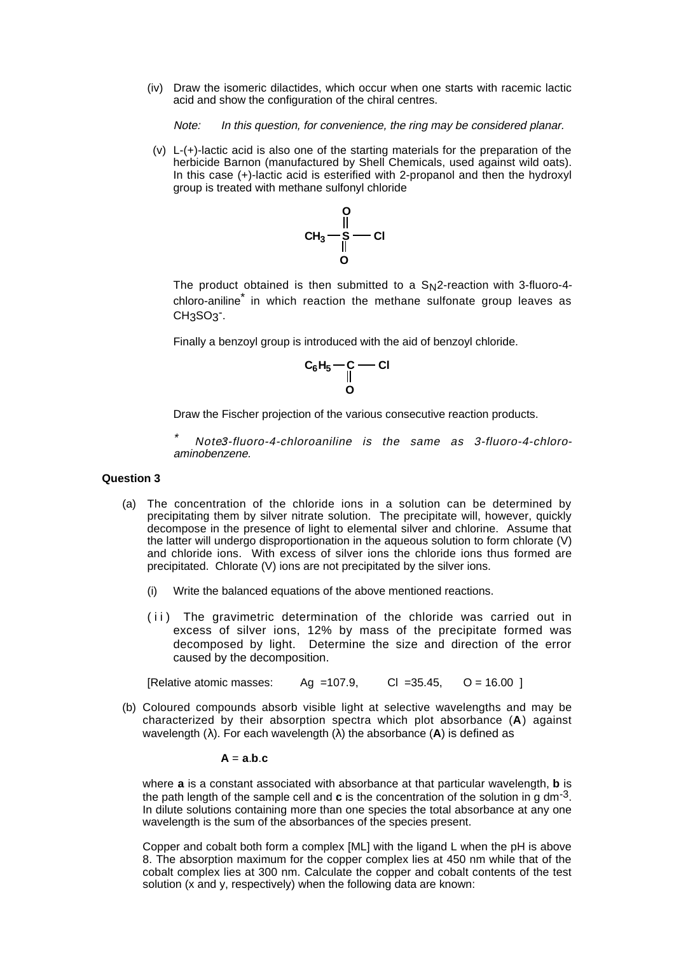(iv) Draw the isomeric dilactides, which occur when one starts with racemic lactic acid and show the configuration of the chiral centres.

Note: In this question, for convenience, the ring may be considered planar.

(v) L-(+)-lactic acid is also one of the starting materials for the preparation of the herbicide Barnon (manufactured by Shell Chemicals, used against wild oats). In this case (+)-lactic acid is esterified with 2-propanol and then the hydroxyl group is treated with methane sulfonyl chloride



The product obtained is then submitted to a  $S_N2$ -reaction with 3-fluoro-4chloro-aniline\* in which reaction the methane sulfonate group leaves as  $CH<sub>3</sub>SO<sub>3</sub>$ .

Finally a benzoyl group is introduced with the aid of benzoyl chloride.

$$
\begin{array}{c}\nC_6H_5 - C - C1 \\
\parallel \\
O\n\end{array}
$$

Draw the Fischer projection of the various consecutive reaction products.

Note3-fluoro-4-chloroaniline is the same as 3-fluoro-4-chloroaminobenzene.

## **Question 3**

- (a) The concentration of the chloride ions in a solution can be determined by precipitating them by silver nitrate solution. The precipitate will, however, quickly decompose in the presence of light to elemental silver and chlorine. Assume that the latter will undergo disproportionation in the aqueous solution to form chlorate (V) and chloride ions. With excess of silver ions the chloride ions thus formed are precipitated. Chlorate (V) ions are not precipitated by the silver ions.
	- (i) Write the balanced equations of the above mentioned reactions.
	- (ii) The gravimetric determination of the chloride was carried out in excess of silver ions, 12% by mass of the precipitate formed was decomposed by light. Determine the size and direction of the error caused by the decomposition.

[Relative atomic masses: Ag =107.9, CI =35.45,  $O = 16.00$  ]

(b) Coloured compounds absorb visible light at selective wavelengths and may be characterized by their absorption spectra which plot absorbance (**A**) against wavelength (λ). For each wavelength (λ) the absorbance (**A**) is defined as

$$
A = a.b.c
$$

where **a** is a constant associated with absorbance at that particular wavelength, **b** is the path length of the sample cell and **c** is the concentration of the solution in g dm-3. In dilute solutions containing more than one species the total absorbance at any one wavelength is the sum of the absorbances of the species present.

Copper and cobalt both form a complex [ML] with the ligand L when the pH is above 8. The absorption maximum for the copper complex lies at 450 nm while that of the cobalt complex lies at 300 nm. Calculate the copper and cobalt contents of the test solution (x and y, respectively) when the following data are known: